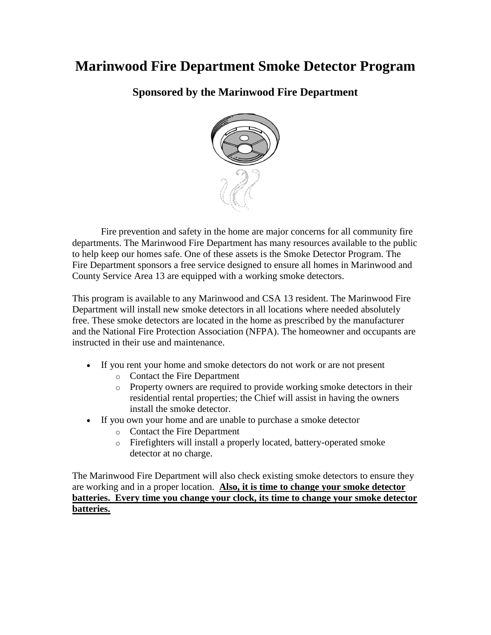## **Marinwood Fire Department Smoke Detector Program**

**Sponsored by the Marinwood Fire Department**



Fire prevention and safety in the home are major concerns for all community fire departments. The Marinwood Fire Department has many resources available to the public to help keep our homes safe. One of these assets is the Smoke Detector Program. The Fire Department sponsors a free service designed to ensure all homes in Marinwood and County Service Area 13 are equipped with a working smoke detectors.

This program is available to any Marinwood and CSA 13 resident. The Marinwood Fire Department will install new smoke detectors in all locations where needed absolutely free. These smoke detectors are located in the home as prescribed by the manufacturer and the National Fire Protection Association (NFPA). The homeowner and occupants are instructed in their use and maintenance.

- If you rent your home and smoke detectors do not work or are not present
	- o Contact the Fire Department
	- o Property owners are required to provide working smoke detectors in their residential rental properties; the Chief will assist in having the owners install the smoke detector.
- If you own your home and are unable to purchase a smoke detector
	- o Contact the Fire Department
	- o Firefighters will install a properly located, battery-operated smoke detector at no charge.

The Marinwood Fire Department will also check existing smoke detectors to ensure they are working and in a proper location. **Also, it is time to change your smoke detector batteries. Every time you change your clock, its time to change your smoke detector batteries.**